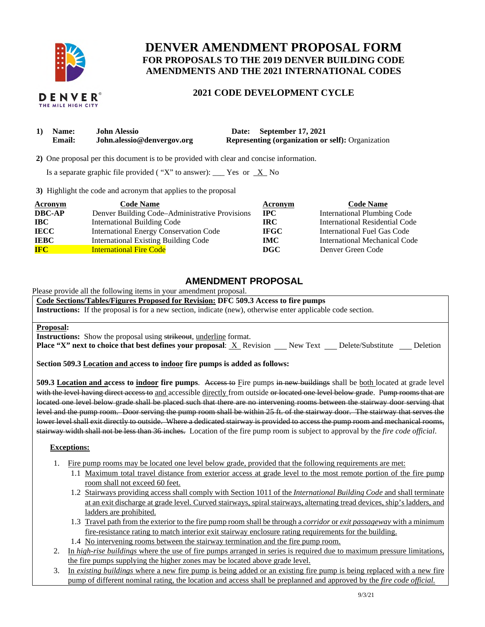

# **DENVER AMENDMENT PROPOSAL FORM FOR PROPOSALS TO THE 2019 DENVER BUILDING CODE AMENDMENTS AND THE 2021 INTERNATIONAL CODES**

## **2021 CODE DEVELOPMENT CYCLE**

| Name:         | <b>John Alessio</b>        | Date: September 17, 2021                                 |
|---------------|----------------------------|----------------------------------------------------------|
| <b>Email:</b> | John.alessio@denvergov.org | <b>Representing (organization or self):</b> Organization |

**2)** One proposal per this document is to be provided with clear and concise information.

Is a separate graphic file provided ("X" to answer): \_\_\_ Yes or  $X$  No

**3)** Highlight the code and acronym that applies to the proposal

| <b>Acronym</b> | <b>Code Name</b>                               | Acronym     | <b>Code Name</b>                      |
|----------------|------------------------------------------------|-------------|---------------------------------------|
| <b>DBC-AP</b>  | Denver Building Code–Administrative Provisions | $\bf IPC$   | <b>International Plumbing Code</b>    |
| <b>IBC</b>     | <b>International Building Code</b>             | IRC.        | <b>International Residential Code</b> |
| <b>IECC</b>    | <b>International Energy Conservation Code</b>  | <b>IFGC</b> | International Fuel Gas Code           |
| <b>IEBC</b>    | <b>International Existing Building Code</b>    | <b>IMC</b>  | International Mechanical Code         |
| <b>IFC</b>     | <b>International Fire Code</b>                 | DGC.        | Denver Green Code                     |

## **AMENDMENT PROPOSAL**

Please provide all the following items in your amendment proposal.

 **Code Sections/Tables/Figures Proposed for Revision: DFC 509.3 Access to fire pumps** 

**Instructions:** If the proposal is for a new section, indicate (new), otherwise enter applicable code section.

### **Proposal:**

Instructions: Show the proposal using strikeout, underline format.

**Place "X" next to choice that best defines your proposal:** X Revision New Text Delete/Substitute Deletion

 **Section 509.3 Location and access to indoor fire pumps is added as follows:** 

**509.3 Location and access to indoor fire pumps**. Access to Fire pumps in new buildings shall be both located at grade level with the level having direct access to and accessible directly from outside or located one level below grade. Pump rooms that are located one level below grade shall be placed such that there are no intervening rooms between the stairway door serving that level and the pump room. Door serving the pump room shall be within 25 ft. of the stairway door. The stairway that serves the lower level shall exit directly to outside. Where a dedicated stairway is provided to access the pump room and mechanical rooms, stairway width shall not be less than 36 inches. Location of the fire pump room is subject to approval by the *fire code official*.

### **Exceptions:**

- 1. Fire pump rooms may be located one level below grade, provided that the following requirements are met:
	- 1.1 Maximum total travel distance from exterior access at grade level to the most remote portion of the fire pump room shall not exceed 60 feet.
	- 1.2 Stairways providing access shall comply with Section 1011 of the *International Building Code* and shall terminate at an exit discharge at grade level. Curved stairways, spiral stairways, alternating tread devices, ship's ladders, and ladders are prohibited.
	- 1.3 Travel path from the exterior to the fire pump room shall be through a *corridor* or *exit passageway* with a minimum fire-resistance rating to match interior exit stairway enclosure rating requirements for the building.
	- 1.4 No intervening rooms between the stairway termination and the fire pump room.
- 2. In *high-rise buildings* where the use of fire pumps arranged in series is required due to maximum pressure limitations, the fire pumps supplying the higher zones may be located above grade level.
- 3. In *existing buildings* where a new fire pump is being added or an existing fire pump is being replaced with a new fire pump of different nominal rating, the location and access shall be preplanned and approved by the *fire code official.*